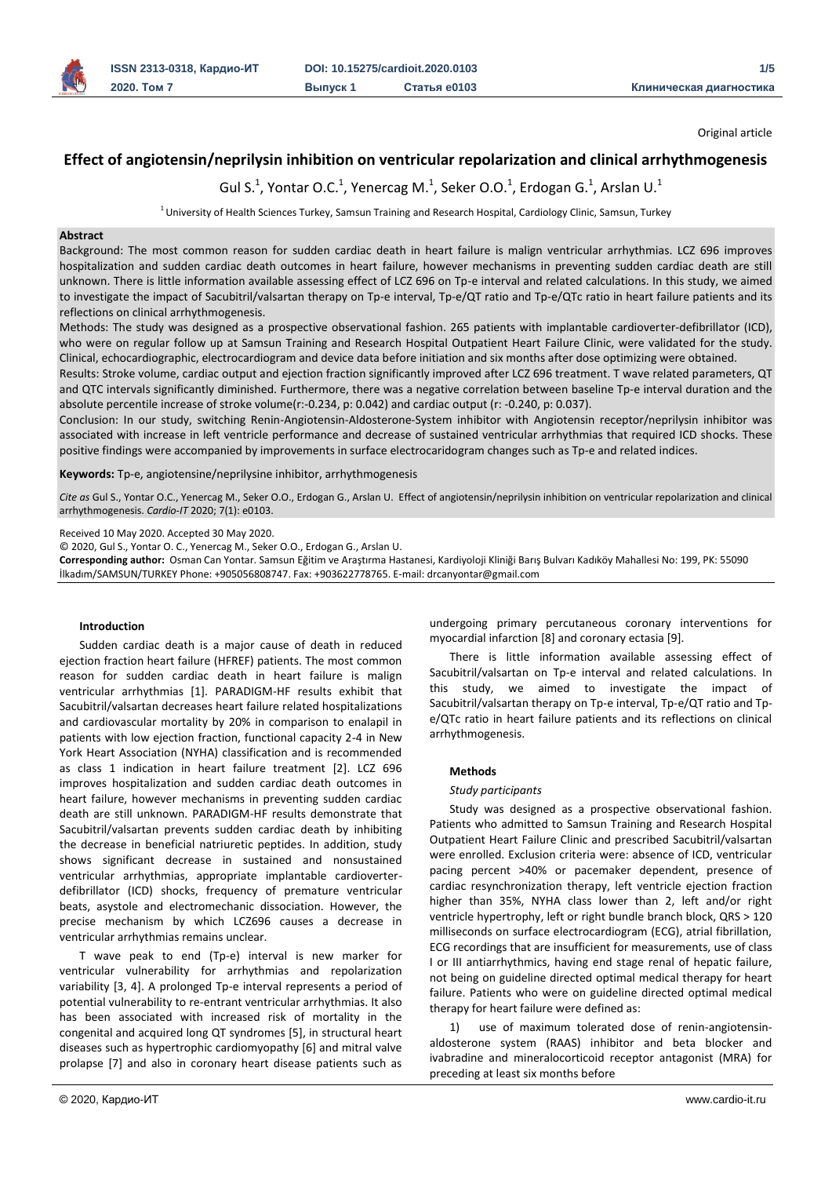

Original article

# **Effect of angiotensin/neprilysin inhibition on ventricular repolarization and clinical arrhythmogenesis**

Gul S.<sup>1</sup>, Yontar O.C.<sup>1</sup>, Yenercag M.<sup>1</sup>, Seker O.O.<sup>1</sup>, Erdogan G.<sup>1</sup>, Arslan U.<sup>1</sup>

 $1$ University of Health Sciences Turkey, Samsun Training and Research Hospital, Cardiology Clinic, Samsun, Turkey

### **Abstract**

Background: The most common reason for sudden cardiac death in heart failure is malign ventricular arrhythmias. LCZ 696 improves hospitalization and sudden cardiac death outcomes in heart failure, however mechanisms in preventing sudden cardiac death are still unknown. There is little information available assessing effect of LCZ 696 on Tp-e interval and related calculations. In this study, we aimed to investigate the impact of Sacubitril/valsartan therapy on Tp-e interval, Tp-e/QT ratio and Tp-e/QTc ratio in heart failure patients and its reflections on clinical arrhythmogenesis.

Methods: The study was designed as a prospective observational fashion. 265 patients with implantable cardioverter-defibrillator (ICD), who were on regular follow up at Samsun Training and Research Hospital Outpatient Heart Failure Clinic, were validated for the study. Clinical, echocardiographic, electrocardiogram and device data before initiation and six months after dose optimizing were obtained.

Results: Stroke volume, cardiac output and ejection fraction significantly improved after LCZ 696 treatment. T wave related parameters, QT and QTC intervals significantly diminished. Furthermore, there was a negative correlation between baseline Tp-e interval duration and the absolute percentile increase of stroke volume(r:-0.234, p: 0.042) and cardiac output (r: -0.240, p: 0.037).

Conclusion: In our study, switching Renin-Angiotensin-Aldosterone-System inhibitor with Angiotensin receptor/neprilysin inhibitor was associated with increase in left ventricle performance and decrease of sustained ventricular arrhythmias that required ICD shocks. These positive findings were accompanied by improvements in surface electrocaridogram changes such as Tp-e and related indices.

**Keywords:** Tp-e, angiotensine/neprilysine inhibitor, arrhythmogenesis

*Cite as* Gul S., Yontar O.C., Yenercag M., Seker O.O., Erdogan G., Arslan U. Effect of angiotensin/neprilysin inhibition on ventricular repolarization and clinical arrhythmogenesis. *Cardio-IT* 2020; 7(1): e0103.

Received 10 May 2020. Accepted 30 May 2020.

© 2020, Gul S., Yontar O. C., Yenercag M., Seker O.O., Erdogan G., Arslan U.

**Corresponding author:** Osman Can Yontar. Samsun Eğitim ve Araştırma Hastanesi, Kardiyoloji Kliniği Barış Bulvarı Kadıköy Mahallesi No: 199, PK: 55090 İlkadım/SAMSUN/TURKEY Phone: +905056808747. Fax: +903622778765. E-mail: drcanyontar@gmail.com

#### **Introduction**

Sudden cardiac death is a major cause of death in reduced ejection fraction heart failure (HFREF) patients. The most common reason for sudden cardiac death in heart failure is malign ventricular arrhythmias [1]. PARADIGM-HF results exhibit that Sacubitril/valsartan decreases heart failure related hospitalizations and cardiovascular mortality by 20% in comparison to enalapil in patients with low ejection fraction, functional capacity 2-4 in New York Heart Association (NYHA) classification and is recommended as class 1 indication in heart failure treatment [2]. LCZ 696 improves hospitalization and sudden cardiac death outcomes in heart failure, however mechanisms in preventing sudden cardiac death are still unknown. PARADIGM-HF results demonstrate that Sacubitril/valsartan prevents sudden cardiac death by inhibiting the decrease in beneficial natriuretic peptides. In addition, study shows significant decrease in sustained and nonsustained ventricular arrhythmias, appropriate implantable cardioverterdefibrillator (ICD) shocks, frequency of premature ventricular beats, asystole and electromechanic dissociation. However, the precise mechanism by which LCZ696 causes a decrease in ventricular arrhythmias remains unclear.

T wave peak to end (Tp-e) interval is new marker for ventricular vulnerability for arrhythmias and repolarization variability [3, 4]. A prolonged Tp-e interval represents a period of potential vulnerability to re-entrant ventricular arrhythmias. It also has been associated with increased risk of mortality in the congenital and acquired long QT syndromes [5], in structural heart diseases such as hypertrophic cardiomyopathy [6] and mitral valve prolapse [7] and also in coronary heart disease patients such as

undergoing primary percutaneous coronary interventions for myocardial infarction [8] and coronary ectasia [9].

There is little information available assessing effect of Sacubitril/valsartan on Tp-e interval and related calculations. In this study, we aimed to investigate the impact of Sacubitril/valsartan therapy on Tp-e interval, Tp-e/QT ratio and Tpe/QTc ratio in heart failure patients and its reflections on clinical arrhythmogenesis.

# **Methods**

#### *Study participants*

Study was designed as a prospective observational fashion. Patients who admitted to Samsun Training and Research Hospital Outpatient Heart Failure Clinic and prescribed Sacubitril/valsartan were enrolled. Exclusion criteria were: absence of ICD, ventricular pacing percent >40% or pacemaker dependent, presence of cardiac resynchronization therapy, left ventricle ejection fraction higher than 35%, NYHA class lower than 2, left and/or right ventricle hypertrophy, left or right bundle branch block, QRS > 120 milliseconds on surface electrocardiogram (ECG), atrial fibrillation, ECG recordings that are insufficient for measurements, use of class I or III antiarrhythmics, having end stage renal of hepatic failure, not being on guideline directed optimal medical therapy for heart failure. Patients who were on guideline directed optimal medical therapy for heart failure were defined as:

use of maximum tolerated dose of renin-angiotensinaldosterone system (RAAS) inhibitor and beta blocker and ivabradine and mineralocorticoid receptor antagonist (MRA) for preceding at least six months before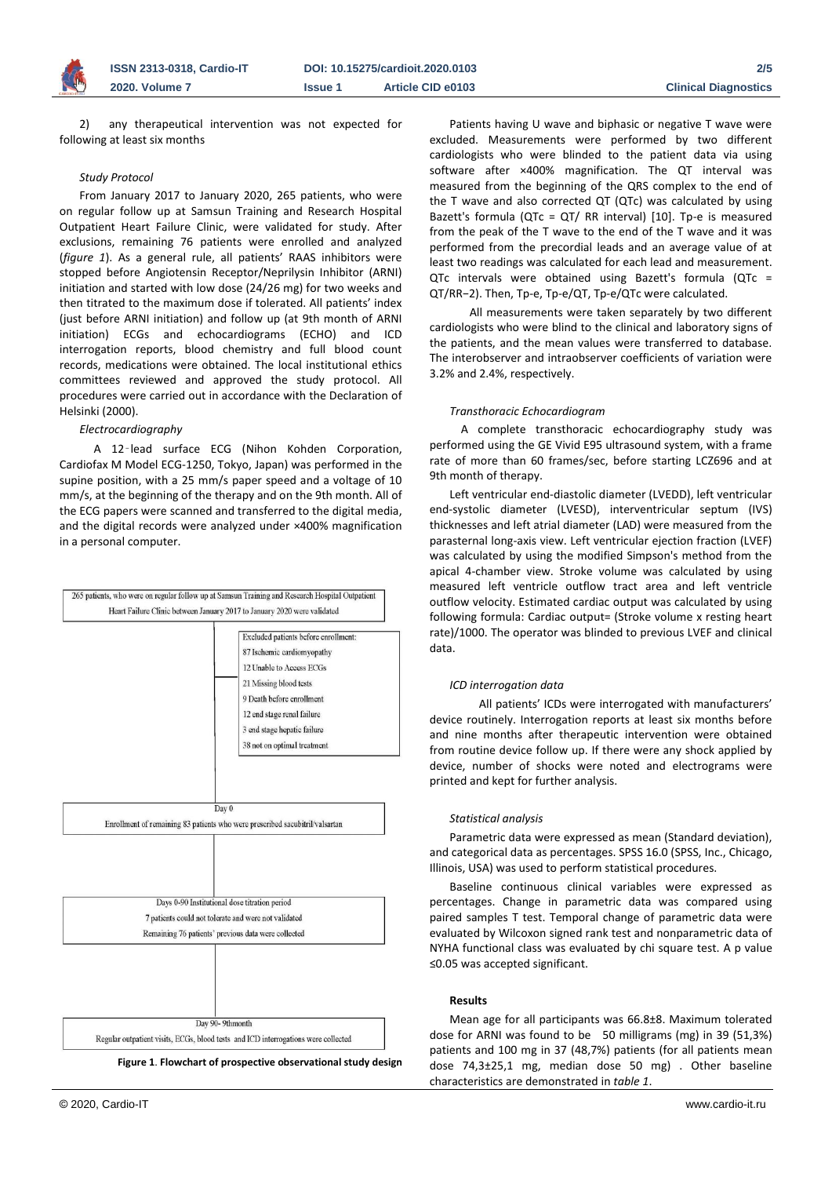

2) any therapeutical intervention was not expected for following at least six months

### *Study Protocol*

From January 2017 to January 2020, 265 patients, who were on regular follow up at Samsun Training and Research Hospital Outpatient Heart Failure Clinic, were validated for study. After exclusions, remaining 76 patients were enrolled and analyzed (*figure 1*). As a general rule, all patients' RAAS inhibitors were stopped before Angiotensin Receptor/Neprilysin Inhibitor (ARNI) initiation and started with low dose (24/26 mg) for two weeks and then titrated to the maximum dose if tolerated. All patients' index (just before ARNI initiation) and follow up (at 9th month of ARNI initiation) ECGs and echocardiograms (ECHO) and ICD interrogation reports, blood chemistry and full blood count records, medications were obtained. The local institutional ethics committees reviewed and approved the study protocol. All procedures were carried out in accordance with the Declaration of Helsinki (2000).

### *Electrocardiography*

 A 12‑lead surface ECG (Nihon Kohden Corporation, Cardiofax M Model ECG-1250, Tokyo, Japan) was performed in the supine position, with a 25 mm/s paper speed and a voltage of 10 mm/s, at the beginning of the therapy and on the 9th month. All of the ECG papers were scanned and transferred to the digital media, and the digital records were analyzed under ×400% magnification in a personal computer.



Patients having U wave and biphasic or negative T wave were excluded. Measurements were performed by two different cardiologists who were blinded to the patient data via using software after ×400% magnification. The QT interval was measured from the beginning of the QRS complex to the end of the T wave and also corrected QT (QTc) was calculated by using Bazett's formula (QTc = QT/ RR interval) [10]. Tp-e is measured from the peak of the T wave to the end of the T wave and it was performed from the precordial leads and an average value of at least two readings was calculated for each lead and measurement. QTc intervals were obtained using Bazett's formula (QTc = QT/RR−2). Then, Tp-e, Tp-e/QT, Tp-e/QTc were calculated.

 All measurements were taken separately by two different cardiologists who were blind to the clinical and laboratory signs of the patients, and the mean values were transferred to database. The interobserver and intraobserver coefficients of variation were 3.2% and 2.4%, respectively.

# *Transthoracic Echocardiogram*

 A complete transthoracic echocardiography study was performed using the GE Vivid E95 ultrasound system, with a frame rate of more than 60 frames/sec, before starting LCZ696 and at 9th month of therapy.

Left ventricular end-diastolic diameter (LVEDD), left ventricular end-systolic diameter (LVESD), interventricular septum (IVS) thicknesses and left atrial diameter (LAD) were measured from the parasternal long-axis view. Left ventricular ejection fraction (LVEF) was calculated by using the modified Simpson's method from the apical 4-chamber view. Stroke volume was calculated by using measured left ventricle outflow tract area and left ventricle outflow velocity. Estimated cardiac output was calculated by using following formula: Cardiac output= (Stroke volume x resting heart rate)/1000. The operator was blinded to previous LVEF and clinical data.

#### *ICD interrogation data*

All patients' ICDs were interrogated with manufacturers' device routinely. Interrogation reports at least six months before and nine months after therapeutic intervention were obtained from routine device follow up. If there were any shock applied by device, number of shocks were noted and electrograms were printed and kept for further analysis.

#### *Statistical analysis*

Parametric data were expressed as mean (Standard deviation), and categorical data as percentages. SPSS 16.0 (SPSS, Inc., Chicago, Illinois, USA) was used to perform statistical procedures.

Baseline continuous clinical variables were expressed as percentages. Change in parametric data was compared using paired samples T test. Temporal change of parametric data were evaluated by Wilcoxon signed rank test and nonparametric data of NYHA functional class was evaluated by chi square test. A p value ≤0.05 was accepted significant.

# **Results**

Mean age for all participants was 66.8±8. Maximum tolerated dose for ARNI was found to be 50 milligrams (mg) in 39 (51,3%) patients and 100 mg in 37 (48,7%) patients (for all patients mean dose 74,3±25,1 mg, median dose 50 mg) . Other baseline characteristics are demonstrated in *table 1*.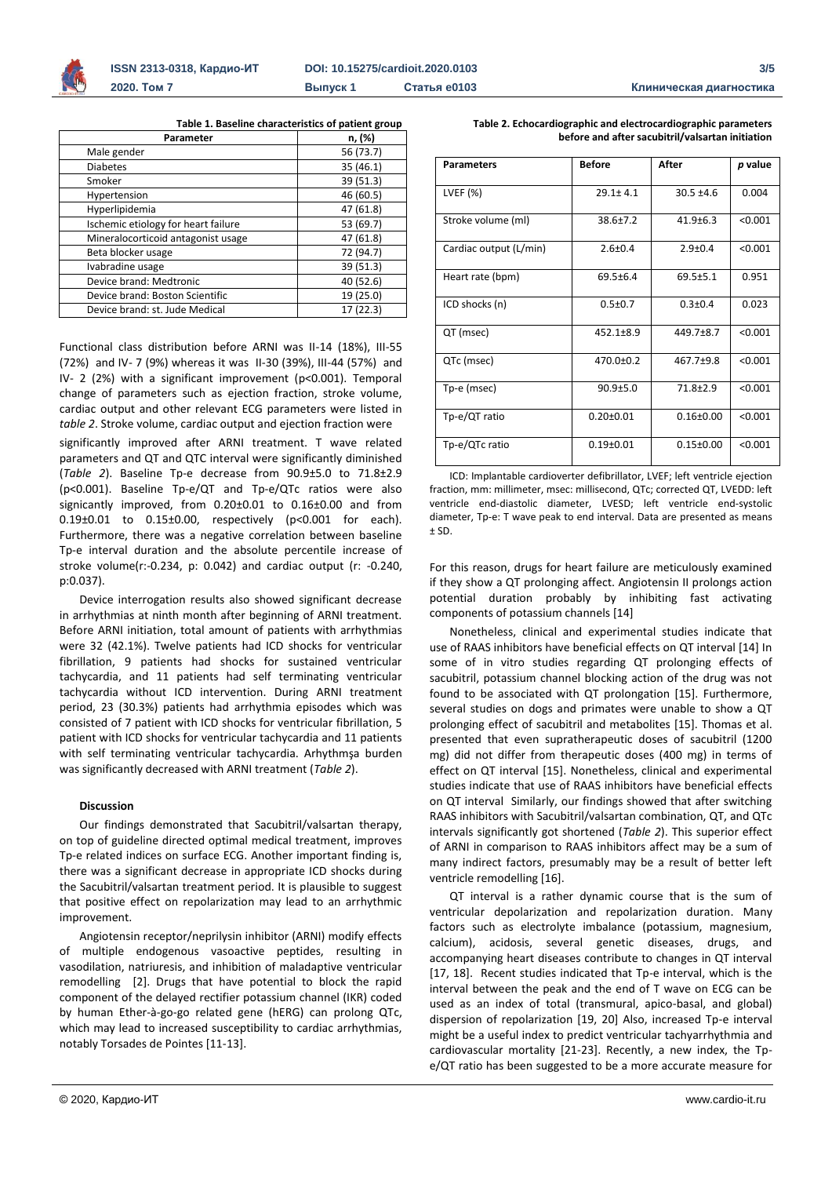

**Table 1. Baseline characteristics of patient group**

| Parameter                           | n, (%)    |
|-------------------------------------|-----------|
| Male gender                         | 56 (73.7) |
| <b>Diabetes</b>                     | 35 (46.1) |
| Smoker                              | 39 (51.3) |
| Hypertension                        | 46 (60.5) |
| Hyperlipidemia                      | 47 (61.8) |
| Ischemic etiology for heart failure | 53 (69.7) |
| Mineralocorticoid antagonist usage  | 47 (61.8) |
| Beta blocker usage                  | 72 (94.7) |
| Ivabradine usage                    | 39 (51.3) |
| Device brand: Medtronic             | 40 (52.6) |
| Device brand: Boston Scientific     | 19 (25.0) |
| Device brand: st. Jude Medical      | 17 (22.3) |

Functional class distribution before ARNI was II-14 (18%), III-55 (72%) and IV- 7 (9%) whereas it was II-30 (39%), III-44 (57%) and IV- 2 (2%) with a significant improvement (p<0.001). Temporal change of parameters such as ejection fraction, stroke volume, cardiac output and other relevant ECG parameters were listed in *table 2*. Stroke volume, cardiac output and ejection fraction were

significantly improved after ARNI treatment. T wave related parameters and QT and QTC interval were significantly diminished (*Table 2*). Baseline Tp-e decrease from 90.9±5.0 to 71.8±2.9 (p<0.001). Baseline Tp-e/QT and Tp-e/QTc ratios were also signicantly improved, from 0.20±0.01 to 0.16±0.00 and from 0.19±0.01 to 0.15±0.00, respectively (p<0.001 for each). Furthermore, there was a negative correlation between baseline Tp-e interval duration and the absolute percentile increase of stroke volume(r:-0.234, p: 0.042) and cardiac output (r: -0.240, p:0.037).

Device interrogation results also showed significant decrease in arrhythmias at ninth month after beginning of ARNI treatment. Before ARNI initiation, total amount of patients with arrhythmias were 32 (42.1%). Twelve patients had ICD shocks for ventricular fibrillation, 9 patients had shocks for sustained ventricular tachycardia, and 11 patients had self terminating ventricular tachycardia without ICD intervention. During ARNI treatment period, 23 (30.3%) patients had arrhythmia episodes which was consisted of 7 patient with ICD shocks for ventricular fibrillation, 5 patient with ICD shocks for ventricular tachycardia and 11 patients with self terminating ventricular tachycardia. Arhythmşa burden was significantly decreased with ARNI treatment (*Table 2*).

# **Discussion**

Our findings demonstrated that Sacubitril/valsartan therapy, on top of guideline directed optimal medical treatment, improves Tp-e related indices on surface ECG. Another important finding is, there was a significant decrease in appropriate ICD shocks during the Sacubitril/valsartan treatment period. It is plausible to suggest that positive effect on repolarization may lead to an arrhythmic improvement.

Angiotensin receptor/neprilysin inhibitor (ARNI) modify effects of multiple endogenous vasoactive peptides, resulting in vasodilation, natriuresis, and inhibition of maladaptive ventricular remodelling [2]. Drugs that have potential to block the rapid component of the delayed rectifier potassium channel (IKR) coded by human Ether-à-go-go related gene (hERG) can prolong QTc, which may lead to increased susceptibility to cardiac arrhythmias, notably Torsades de Pointes [11-13].

| <b>Parameters</b>      | <b>Before</b>   | After           | p value |
|------------------------|-----------------|-----------------|---------|
| LVEF (%)               | $29.1 \pm 4.1$  | $30.5 \pm 4.6$  | 0.004   |
| Stroke volume (ml)     | $38.6 \pm 7.2$  | $41.9 + 6.3$    | < 0.001 |
| Cardiac output (L/min) | $2.6 + 0.4$     | $2.9 + 0.4$     | < 0.001 |
| Heart rate (bpm)       | $69.5 \pm 6.4$  | $69.5 \pm 5.1$  | 0.951   |
| ICD shocks (n)         | $0.5 \pm 0.7$   | $0.3 + 0.4$     | 0.023   |
| QT (msec)              | $452.1 \pm 8.9$ | $449.7 + 8.7$   | < 0.001 |
| QTc (msec)             | $470.0 \pm 0.2$ | $467.7 + 9.8$   | < 0.001 |
| Tp-e (msec)            | $90.9 + 5.0$    | $71.8 \pm 2.9$  | < 0.001 |
| Tp-e/QT ratio          | $0.20 \pm 0.01$ | $0.16 \pm 0.00$ | < 0.001 |
| Tp-e/QTc ratio         | $0.19 + 0.01$   | $0.15 \pm 0.00$ | < 0.001 |

**Table 2. Echocardiographic and electrocardiographic parameters** 

**before and after sacubitril/valsartan initiation**

ICD: Implantable cardioverter defibrillator, LVEF; left ventricle ejection fraction, mm: millimeter, msec: millisecond, QTc; corrected QT, LVEDD: left ventricle end-diastolic diameter, LVESD; left ventricle end-systolic diameter, Tp-e: T wave peak to end interval. Data are presented as means  $±$  SD.

For this reason, drugs for heart failure are meticulously examined if they show a QT prolonging affect. Angiotensin II prolongs action potential duration probably by inhibiting fast activating components of potassium channels [14]

Nonetheless, clinical and experimental studies indicate that use of RAAS inhibitors have beneficial effects on QT interval [14] In some of in vitro studies regarding QT prolonging effects of sacubitril, potassium channel blocking action of the drug was not found to be associated with QT prolongation [15]. Furthermore, several studies on dogs and primates were unable to show a QT prolonging effect of sacubitril and metabolites [15]. Thomas et al. presented that even supratherapeutic doses of sacubitril (1200 mg) did not differ from therapeutic doses (400 mg) in terms of effect on QT interval [15]. Nonetheless, clinical and experimental studies indicate that use of RAAS inhibitors have beneficial effects on QT interval Similarly, our findings showed that after switching RAAS inhibitors with Sacubitril/valsartan combination, QT, and QTc intervals significantly got shortened (*Table 2*). This superior effect of ARNI in comparison to RAAS inhibitors affect may be a sum of many indirect factors, presumably may be a result of better left ventricle remodelling [16].

QT interval is a rather dynamic course that is the sum of ventricular depolarization and repolarization duration. Many factors such as electrolyte imbalance (potassium, magnesium, calcium), acidosis, several genetic diseases, drugs, and accompanying heart diseases contribute to changes in QT interval [17, 18]. Recent studies indicated that Tp-e interval, which is the interval between the peak and the end of T wave on ECG can be used as an index of total (transmural, apico-basal, and global) dispersion of repolarization [19, 20] Also, increased Tp-e interval might be a useful index to predict ventricular tachyarrhythmia and cardiovascular mortality [21-23]. Recently, a new index, the Tpe/QT ratio has been suggested to be a more accurate measure for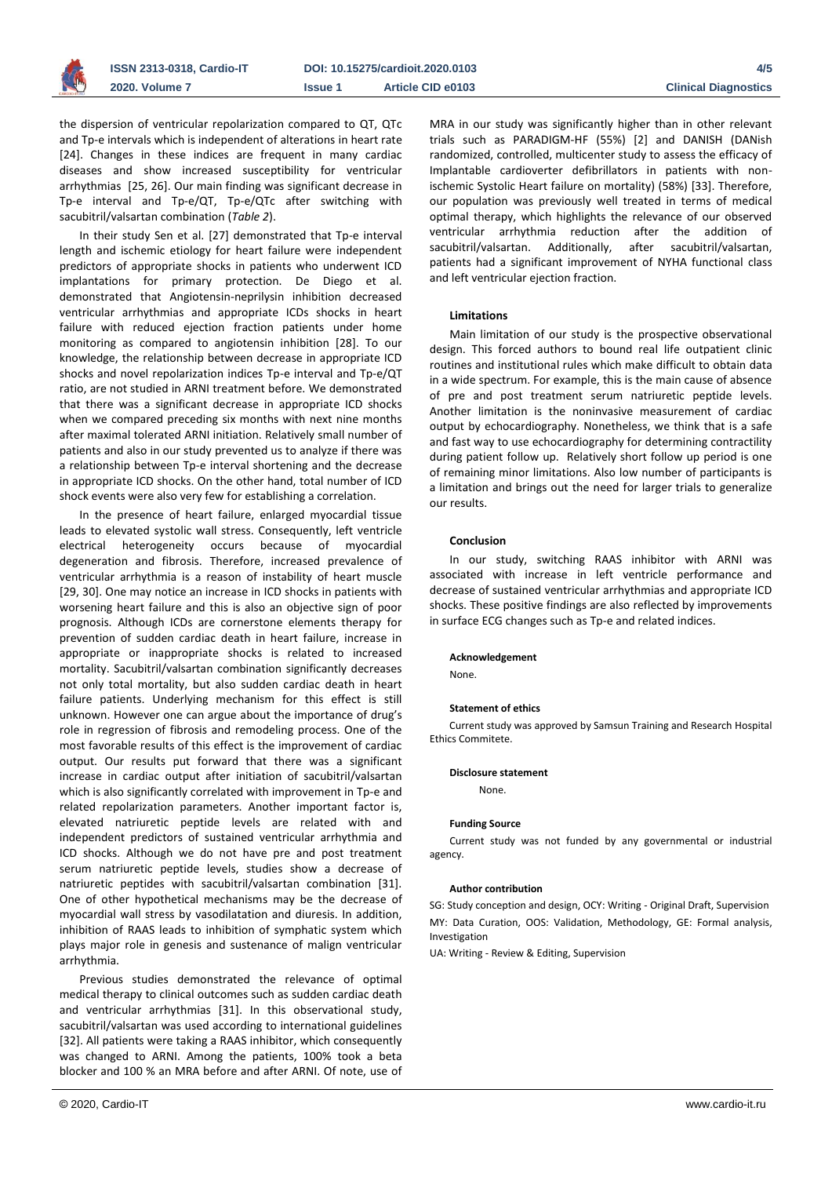

the dispersion of ventricular repolarization compared to QT, QTc and Tp-e intervals which is independent of alterations in heart rate [24]. Changes in these indices are frequent in many cardiac diseases and show increased susceptibility for ventricular arrhythmias [25, 26]. Our main finding was significant decrease in Tp-e interval and Tp-e/QT, Tp-e/QTc after switching with sacubitril/valsartan combination (*Table 2*).

In their study Sen et al. [27] demonstrated that Tp-e interval length and ischemic etiology for heart failure were independent predictors of appropriate shocks in patients who underwent ICD implantations for primary protection. De Diego et al. demonstrated that Angiotensin-neprilysin inhibition decreased ventricular arrhythmias and appropriate ICDs shocks in heart failure with reduced ejection fraction patients under home monitoring as compared to angiotensin inhibition [28]. To our knowledge, the relationship between decrease in appropriate ICD shocks and novel repolarization indices Tp-e interval and Tp-e/QT ratio, are not studied in ARNI treatment before. We demonstrated that there was a significant decrease in appropriate ICD shocks when we compared preceding six months with next nine months after maximal tolerated ARNI initiation. Relatively small number of patients and also in our study prevented us to analyze if there was a relationship between Tp-e interval shortening and the decrease in appropriate ICD shocks. On the other hand, total number of ICD shock events were also very few for establishing a correlation.

In the presence of heart failure, enlarged myocardial tissue leads to elevated systolic wall stress. Consequently, left ventricle electrical heterogeneity occurs because of myocardial degeneration and fibrosis. Therefore, increased prevalence of ventricular arrhythmia is a reason of instability of heart muscle [29, 30]. One may notice an increase in ICD shocks in patients with worsening heart failure and this is also an objective sign of poor prognosis. Although ICDs are cornerstone elements therapy for prevention of sudden cardiac death in heart failure, increase in appropriate or inappropriate shocks is related to increased mortality. Sacubitril/valsartan combination significantly decreases not only total mortality, but also sudden cardiac death in heart failure patients. Underlying mechanism for this effect is still unknown. However one can argue about the importance of drug's role in regression of fibrosis and remodeling process. One of the most favorable results of this effect is the improvement of cardiac output. Our results put forward that there was a significant increase in cardiac output after initiation of sacubitril/valsartan which is also significantly correlated with improvement in Tp-e and related repolarization parameters. Another important factor is, elevated natriuretic peptide levels are related with and independent predictors of sustained ventricular arrhythmia and ICD shocks. Although we do not have pre and post treatment serum natriuretic peptide levels, studies show a decrease of natriuretic peptides with sacubitril/valsartan combination [31]. One of other hypothetical mechanisms may be the decrease of myocardial wall stress by vasodilatation and diuresis. In addition, inhibition of RAAS leads to inhibition of symphatic system which plays major role in genesis and sustenance of malign ventricular arrhythmia.

Previous studies demonstrated the relevance of optimal medical therapy to clinical outcomes such as sudden cardiac death and ventricular arrhythmias [31]. In this observational study, sacubitril/valsartan was used according to international guidelines [32]. All patients were taking a RAAS inhibitor, which consequently was changed to ARNI. Among the patients, 100% took a beta blocker and 100 % an MRA before and after ARNI. Of note, use of

MRA in our study was significantly higher than in other relevant trials such as PARADIGM-HF (55%) [2] and DANISH (DANish randomized, controlled, multicenter study to assess the efficacy of Implantable cardioverter defibrillators in patients with nonischemic Systolic Heart failure on mortality) (58%) [33]. Therefore, our population was previously well treated in terms of medical optimal therapy, which highlights the relevance of our observed ventricular arrhythmia reduction after the addition of sacubitril/valsartan. Additionally, after sacubitril/valsartan, patients had a significant improvement of NYHA functional class and left ventricular ejection fraction.

# **Limitations**

Main limitation of our study is the prospective observational design. This forced authors to bound real life outpatient clinic routines and institutional rules which make difficult to obtain data in a wide spectrum. For example, this is the main cause of absence of pre and post treatment serum natriuretic peptide levels. Another limitation is the noninvasive measurement of cardiac output by echocardiography. Nonetheless, we think that is a safe and fast way to use echocardiography for determining contractility during patient follow up. Relatively short follow up period is one of remaining minor limitations. Also low number of participants is a limitation and brings out the need for larger trials to generalize our results.

# **Conclusion**

In our study, switching RAAS inhibitor with ARNI was associated with increase in left ventricle performance and decrease of sustained ventricular arrhythmias and appropriate ICD shocks. These positive findings are also reflected by improvements in surface ECG changes such as Tp-e and related indices.

#### **Acknowledgement**

None.

#### **Statement of ethics**

Current study was approved by Samsun Training and Research Hospital Ethics Commitete.

#### **Disclosure statement** None.

### **Funding Source**

Current study was not funded by any governmental or industrial agency.

# **Author contribution**

SG: Study conception and design, OCY: Writing - Original Draft, Supervision MY: Data Curation, OOS: Validation, Methodology, GE: Formal analysis, Investigation

UA: Writing - Review & Editing, Supervision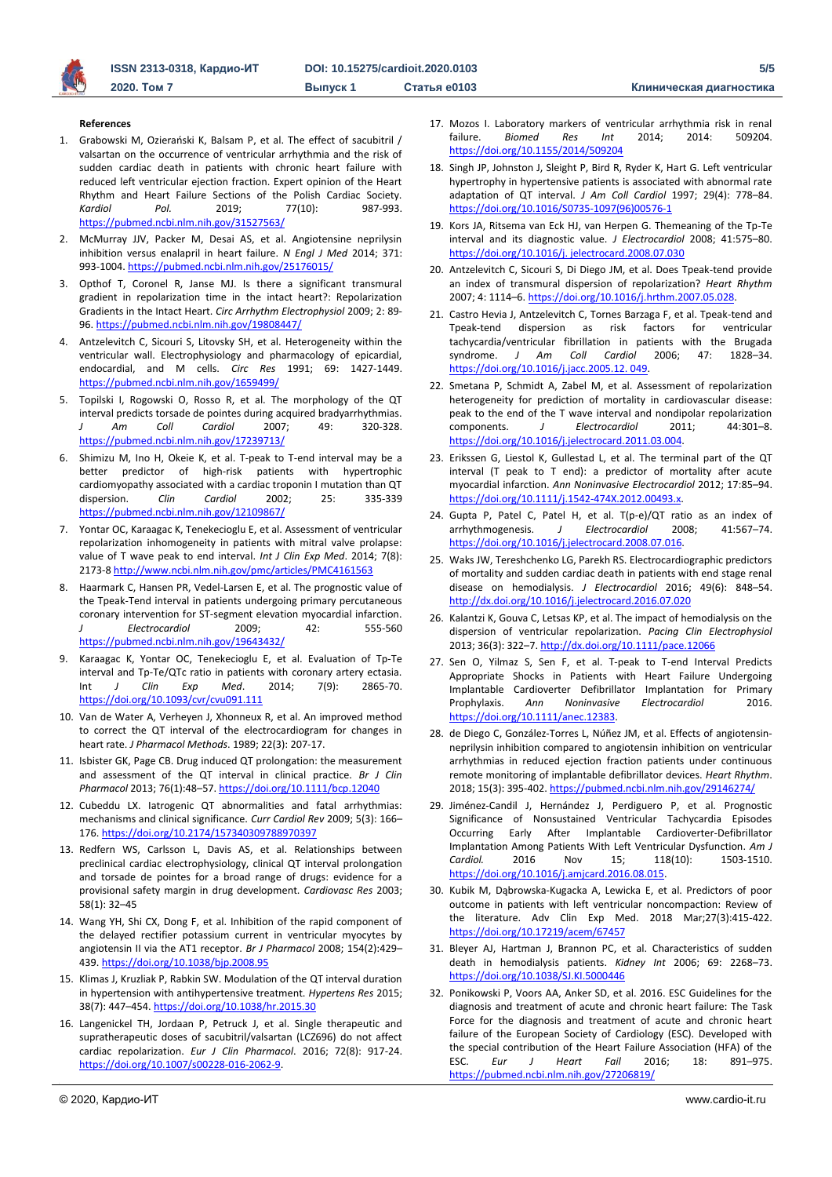

#### **References**

- 1. Grabowski M, Ozierański K, Balsam P, et al. The effect of sacubitril / valsartan on the occurrence of ventricular arrhythmia and the risk of sudden cardiac death in patients with chronic heart failure with reduced left ventricular ejection fraction. Expert opinion of the Heart Rhythm and Heart Failure Sections of the Polish Cardiac Society. *Kardiol Pol.* 2019; 77(10): 987-993. <https://pubmed.ncbi.nlm.nih.gov/31527563/>
- 2. McMurray JJV, Packer M, Desai AS, et al. Angiotensine neprilysin inhibition versus enalapril in heart failure. *N Engl J Med* 2014; 371: 993-1004. <https://pubmed.ncbi.nlm.nih.gov/25176015/>
- 3. Opthof T, Coronel R, Janse MJ. Is there a significant transmural gradient in repolarization time in the intact heart?: Repolarization Gradients in the Intact Heart. *Circ Arrhythm Electrophysiol* 2009; 2: 89- 96. <https://pubmed.ncbi.nlm.nih.gov/19808447/>
- 4. Antzelevitch C, Sicouri S, Litovsky SH, et al. Heterogeneity within the ventricular wall. Electrophysiology and pharmacology of epicardial, endocardial, and M cells. *Circ Res* 1991; 69: 1427-1449. <https://pubmed.ncbi.nlm.nih.gov/1659499/>
- 5. Topilski I, Rogowski O, Rosso R, et al. The morphology of the QT interval predicts torsade de pointes during acquired bradyarrhythmias. *J Am Coll Cardiol* 2007; 49: 320-328. <https://pubmed.ncbi.nlm.nih.gov/17239713/>
- 6. Shimizu M, Ino H, Okeie K, et al. T-peak to T-end interval may be a better predictor of high-risk patients with hypertrophic cardiomyopathy associated with a cardiac troponin I mutation than QT dispersion. *Clin Cardiol* 2002; 25: 335-339 <https://pubmed.ncbi.nlm.nih.gov/12109867/>
- 7. Yontar OC, Karaagac K, Tenekecioglu E, et al. Assessment of ventricular repolarization inhomogeneity in patients with mitral valve prolapse: value of T wave peak to end interval. *Int J Clin Exp Med*. 2014; 7(8): 2173-8 <http://www.ncbi.nlm.nih.gov/pmc/articles/PMC4161563>
- 8. Haarmark C, Hansen PR, Vedel-Larsen E, et al. The prognostic value of the Tpeak-Tend interval in patients undergoing primary percutaneous coronary intervention for ST-segment elevation myocardial infarction. *J Electrocardiol* 2009; 42: 555-560 <https://pubmed.ncbi.nlm.nih.gov/19643432/>
- Karaagac K, Yontar OC, Tenekecioglu E, et al. Evaluation of Tp-Te interval and Tp-Te/QTc ratio in patients with coronary artery ectasia. Int *J Clin Exp Med*. 2014; 7(9): 2865-70. <https://doi.org/10.1093/cvr/cvu091.111>
- 10. Van de Water A, Verheyen J, Xhonneux R, et al. An improved method to correct the QT interval of the electrocardiogram for changes in heart rate. *J Pharmacol Methods*. 1989; 22(3): 207-17.
- 11. Isbister GK, Page CB. Drug induced QT prolongation: the measurement and assessment of the QT interval in clinical practice. *Br J Clin Pharmacol* 2013; 76(1):48–57[. https://doi.org/10.1111/bcp.12040](https://doi.org/10.1111/bcp.12040)
- 12. Cubeddu LX. Iatrogenic QT abnormalities and fatal arrhythmias: mechanisms and clinical significance. *Curr Cardiol Rev* 2009; 5(3): 166– 176. <https://doi.org/10.2174/157340309788970397>
- 13. Redfern WS, Carlsson L, Davis AS, et al. Relationships between preclinical cardiac electrophysiology, clinical QT interval prolongation and torsade de pointes for a broad range of drugs: evidence for a provisional safety margin in drug development. *Cardiovasc Res* 2003; 58(1): 32–45
- 14. Wang YH, Shi CX, Dong F, et al. Inhibition of the rapid component of the delayed rectifier potassium current in ventricular myocytes by angiotensin II via the AT1 receptor. *Br J Pharmacol* 2008; 154(2):429– 439[. https://doi.org/10.1038/bjp.2008.95](https://doi.org/10.1038/bjp.2008.95)
- 15. Klimas J, Kruzliak P, Rabkin SW. Modulation of the QT interval duration in hypertension with antihypertensive treatment. *Hypertens Res* 2015; 38(7): 447–454[. https://doi.org/10.1038/hr.2015.30](https://doi.org/10.1038/hr.2015.30)
- 16. Langenickel TH, Jordaan P, Petruck J, et al. Single therapeutic and supratherapeutic doses of sacubitril/valsartan (LCZ696) do not affect cardiac repolarization. *Eur J Clin Pharmacol*. 2016; 72(8): 917-24. [https://doi.org/10.1007/s00228-016-2062-9.](https://doi.org/10.1007/s00228-016-2062-9)
- 17. Mozos I. Laboratory markers of ventricular arrhythmia risk in renal failure. *Biomed Res Int* 2014; 2014: 509204. <https://doi.org/10.1155/2014/509204>
- 18. Singh JP, Johnston J, Sleight P, Bird R, Ryder K, Hart G. Left ventricular hypertrophy in hypertensive patients is associated with abnormal rate adaptation of QT interval. *J Am Coll Cardiol* 1997; 29(4): 778–84. [https://doi.org/10.1016/S0735-1097\(96\)00576-1](https://doi.org/10.1016/S0735-1097(96)00576-1)
- 19. Kors JA, Ritsema van Eck HJ, van Herpen G. Themeaning of the Tp-Te interval and its diagnostic value. *J Electrocardiol* 2008; 41:575–80. [https://doi.org/10.1016/j. jelectrocard.2008.07.030](https://doi.org/10.1016/j.%20jelectrocard.2008.07.030)
- 20. Antzelevitch C, Sicouri S, Di Diego JM, et al. Does Tpeak-tend provide an index of transmural dispersion of repolarization? *Heart Rhythm* 2007; 4: 1114–6[. https://doi.org/10.1016/j.hrthm.2007.05.028.](https://doi.org/10.1016/j.hrthm.2007.05.028)
- 21. Castro Hevia J, Antzelevitch C, Tornes Barzaga F, et al. Tpeak-tend and Tpeak-tend dispersion as risk factors for ventricular tachycardia/ventricular fibrillation in patients with the Brugada syndrome. *J Am Coll Cardiol* 2006; 47: 1828–34. [https://doi.org/10.1016/j.jacc.2005.12. 049.](https://doi.org/10.1016/j.jacc.2005.12.%20049)
- 22. Smetana P, Schmidt A, Zabel M, et al. Assessment of repolarization heterogeneity for prediction of mortality in cardiovascular disease: peak to the end of the T wave interval and nondipolar repolarization components. *J Electrocardiol* 2011; 44:301–8. [https://doi.org/10.1016/j.jelectrocard.2011.03.004.](https://doi.org/10.1016/j.jelectrocard.2011.03.004)
- 23. Erikssen G, Liestol K, Gullestad L, et al. The terminal part of the QT interval (T peak to T end): a predictor of mortality after acute myocardial infarction. *Ann Noninvasive Electrocardiol* 2012; 17:85–94. [https://doi.org/10.1111/j.1542-474X.2012.00493.x.](https://doi.org/10.1111/j.1542-474X.2012.00493.x)
- 24. Gupta P, Patel C, Patel H, et al. T(p-e)/QT ratio as an index of arrhythmogenesis. *J Electrocardiol* 2008; 41:567–74. [https://doi.org/10.1016/j.jelectrocard.2008.07.016.](https://doi.org/10.1016/j.jelectrocard.2008.07.016)
- 25. Waks JW, Tereshchenko LG, Parekh RS. Electrocardiographic predictors of mortality and sudden cardiac death in patients with end stage renal disease on hemodialysis. *J Electrocardiol* 2016; 49(6): 848–54. <http://dx.doi.org/10.1016/j.jelectrocard.2016.07.020>
- 26. Kalantzi K, Gouva C, Letsas KP, et al. The impact of hemodialysis on the dispersion of ventricular repolarization. *Pacing Clin Electrophysiol* 2013; 36(3): 322–7. <http://dx.doi.org/10.1111/pace.12066>
- 27. Sen O, Yilmaz S, Sen F, et al. T-peak to T-end Interval Predicts Appropriate Shocks in Patients with Heart Failure Undergoing Implantable Cardioverter Defibrillator Implantation for Primary<br>Prophylaxis. Ann Noninvasive Electrocardiol 2016. Prophylaxis. *Ann Noninvasive Electrocardiol* 2016. [https://doi.org/10.1111/anec.12383.](https://doi.org/10.1111/anec.12383)
- 28. de Diego C, González-Torres L, Núñez JM, et al. Effects of angiotensinneprilysin inhibition compared to angiotensin inhibition on ventricular arrhythmias in reduced ejection fraction patients under continuous remote monitoring of implantable defibrillator devices. *Heart Rhythm*. 2018; 15(3): 395-402. <https://pubmed.ncbi.nlm.nih.gov/29146274/>
- 29. Jiménez-Candil J, Hernández J, Perdiguero P, et al. Prognostic Significance of Nonsustained Ventricular Tachycardia Episodes Occurring Early After Implantable Cardioverter-Defibrillator Implantation Among Patients With Left Ventricular Dysfunction. *Am J Cardiol.* 2016 Nov 15; 118(10): 1503-1510. [https://doi.org/10.1016/j.amjcard.2016.08.015.](https://doi.org/10.1016/j.amjcard.2016.08.015)
- 30. Kubik M, Dąbrowska-Kugacka A, Lewicka E, et al. Predictors of poor outcome in patients with left ventricular noncompaction: Review of the literature. Adv Clin Exp Med. 2018 Mar;27(3):415-422. <https://doi.org/10.17219/acem/67457>
- 31. Bleyer AJ, Hartman J, Brannon PC, et al. Characteristics of sudden death in hemodialysis patients. *Kidney Int* 2006; 69: 2268–73. <https://doi.org/10.1038/SJ.KI.5000446>
- 32. Ponikowski P, Voors AA, Anker SD, et al. 2016. ESC Guidelines for the diagnosis and treatment of acute and chronic heart failure: The Task Force for the diagnosis and treatment of acute and chronic heart failure of the European Society of Cardiology (ESC). Developed with the special contribution of the Heart Failure Association (HFA) of the ESC. *Eur J Heart Fail* 2016; 18: 891–975. <https://pubmed.ncbi.nlm.nih.gov/27206819/>